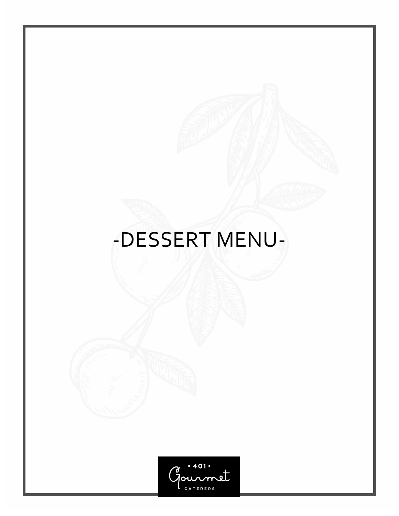# -DESSERT MENU-

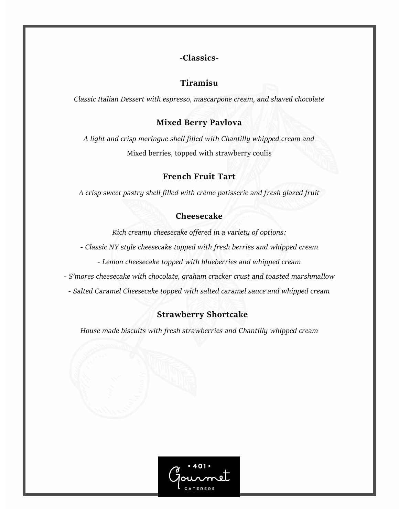# **-Classics-**

# **Tiramisu**

*Classic Italian Dessert with espresso, mascarpone cream, and shaved chocolate* 

### **Mixed Berry Pavlova**

*A light and crisp meringue shell filled with Chantilly whipped cream and*  Mixed berries, topped with strawberry coulis

### **French Fruit Tart**

*A crisp sweet pastry shell filled with crème patisserie and fresh glazed fruit*

### **Cheesecake**

*Rich creamy cheesecake offered in a variety of options:*

*- Classic NY style cheesecake topped with fresh berries and whipped cream*

*- Lemon cheesecake topped with blueberries and whipped cream*

*- S'mores cheesecake with chocolate, graham cracker crust and toasted marshmallow*

*- Salted Caramel Cheesecake topped with salted caramel sauce and whipped cream*

# **Strawberry Shortcake**

*House made biscuits with fresh strawberries and Chantilly whipped cream* 

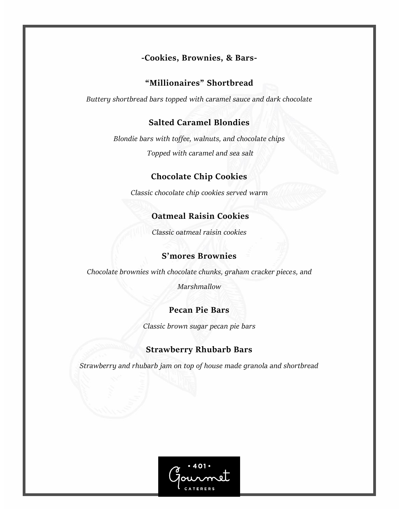# **-Cookies, Brownies, & Bars-**

#### **"Millionaires" Shortbread**

*Buttery shortbread bars topped with caramel sauce and dark chocolate* 

# **Salted Caramel Blondies**

*Blondie bars with toffee, walnuts, and chocolate chips Topped with caramel and sea salt*

# **Chocolate Chip Cookies**

*Classic chocolate chip cookies served warm*

### **Oatmeal Raisin Cookies**

*Classic oatmeal raisin cookies*

# **S'mores Brownies**

*Chocolate brownies with chocolate chunks, graham cracker pieces, and* 

*Marshmallow* 

#### **Pecan Pie Bars**

*Classic brown sugar pecan pie bars*

#### **Strawberry Rhubarb Bars**

*Strawberry and rhubarb jam on top of house made granola and shortbread*